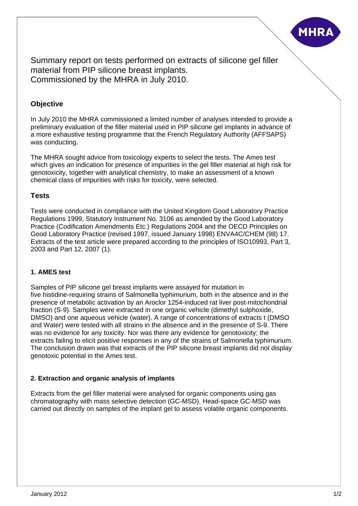

Summary report on tests performed on extracts of silicone gel filler material from PIP silicone breast implants. Commissioned by the MHRA in July 2010.

# **Objective**

In July 2010 the MHRA commissioned a limited number of analyses intended to provide a preliminary evaluation of the filler material used in PIP silicone gel implants in advance of a more exhaustive testing programme that the French Regulatory Authority (AFFSAPS) was conducting.

The MHRA sought advice from toxicology experts to select the tests. The Ames test which gives an indication for presence of impurities in the gel filler material at high risk for genotoxicity, together with analytical chemistry, to make an assessment of a known chemical class of impurities with risks for toxicity, were selected.

## **Tests**

Tests were conducted in compliance with the United Kingdom Good Laboratory Practice Regulations 1999, Statutory Instrument No. 3106 as amended by the Good Laboratory Practice (Codification Amendments Etc.) Regulations 2004 and the OECD Principles on Good Laboratory Practice (revised 1997, issued January 1998) ENVA4C/CHEM (98) 17. Extracts of the test article were prepared according to the principles of ISO10993, Part 3, 2003 and Part 12, 2007 (1).

#### **1. AMES test**

Samples of PIP silicone gel breast implants were assayed for mutation in five histidine-requiring strains of Salmonella typhimurium, both in the absence and in the presence of metabolic activation by an Aroclor 1254-induced rat liver post-mitochondrial fraction (S-9). Samples were extracted in one organic vehicle (dimethyl sulphoxide, DMSO) and one aqueous vehicle (water). A range of concentrations of extracts t (DMSO and Water) were tested with all strains in the absence and in the presence of S-9. There was no evidence for any toxicity. Nor was there any evidence for genotoxicity; the extracts failing to elicit positive responses in any of the strains of Salmonella typhimurium. The conclusion drawn was that extracts of the PIP silicone breast implants did not display genotoxic potential in the Ames test.

#### **2. Extraction and organic analysis of implants**

Extracts from the gel filler material were analysed for organic components using gas chromatography with mass selective detection (GC-MSD). Head-space GC-MSD was carried out directly on samples of the implant gel to assess volatile organic components.